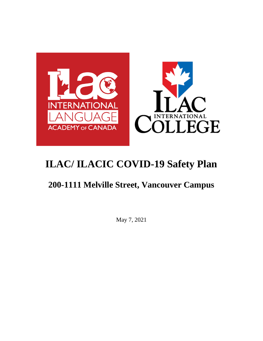

# **200-1111 Melville Street, Vancouver Campus**

May 7, 2021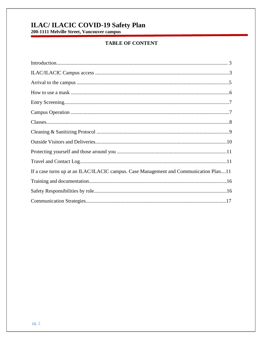# **ILAC/ ILACIC COVID-19 Safety Plan**<br>200-1111 Melville Street, Vancouver campus

## **TABLE OF CONTENT**

| If a case turns up at an ILAC/ILACIC campus. Case Management and Communication Plan11 |
|---------------------------------------------------------------------------------------|
|                                                                                       |
|                                                                                       |
|                                                                                       |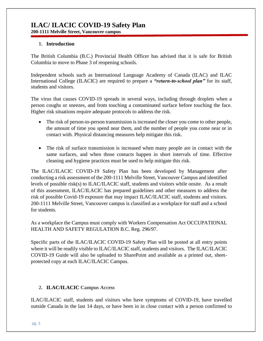#### **1. Introduction**

The British Columbia (B.C.) Provincial Health Officer has advised that it is safe for British Columbia to move to Phase 3 of reopening schools.

Independent schools such as International Language Academy of Canada (ILAC) and ILAC International College (ILACIC) are required to prepare a *"return-to-school plan"* for its staff, students and visitors.

The virus that causes COVID-19 spreads in several ways, including through droplets when a person coughs or sneezes, and from touching a contaminated surface before touching the face. Higher risk situations require adequate protocols to address the risk.

- The risk of person-to-person transmission is increased the closer you come to other people, the amount of time you spend near them, and the number of people you come near or in contact with. Physical distancing measures help mitigate this risk.
- The risk of surface transmission is increased when many people are in contact with the same surfaces, and when those contacts happen in short intervals of time. Effective cleaning and hygiene practices must be used to help mitigate this risk.

The ILAC/ILACIC COVID-19 Safety Plan has been developed by Management after conducting a risk assessment of the 200-1111 Melville Street, Vancouver Campus and identified levels of possible risk(s) to ILAC/ILACIC staff, students and visitors while onsite. As a result of this assessment, ILAC/ILACIC has prepared guidelines and other measures to address the risk of possible Covid-19 exposure that may impact ILAC/ILACIC staff, students and visitors. 200-1111 Melville Street, Vancouver campus is classified as a workplace for staff and a school for students.

As a workplace the Campus must comply with Workers Compensation Act OCCUPATIONAL HEALTH AND SAFETY REGULATION B.C. Reg. 296/97.

Specific parts of the ILAC/ILACIC COVID-19 Safety Plan will be posted at all entry points where it will be readily visible to ILAC/ILACIC staff, students and visitors. The ILAC/ILACIC COVID-19 Guide will also be uploaded to SharePoint and available as a printed out, sheetprotected copy at each ILAC/ILACIC Campus.

#### **2. ILAC/ILACIC Campus Access**

ILAC/ILACIC staff, students and visitors who have symptoms of COVID-19, have travelled outside Canada in the last 14 days, or have been in in close contact with a person confirmed to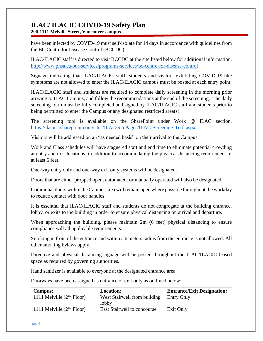**200-1111 Melville Street, Vancouver campus**

have been infected by COVID-19 must self-isolate for 14 days in accordance with guidelines from the [BC Centre for Disease Control](http://www.bccdc.ca/health-info/diseases-conditions/covid-19/about-covid-19/if-you-are-sick) (BCCDC).

ILAC/ILACIC staff is directed to visit BCCDC at the site listed below for additional information. <http://www.phsa.ca/our-services/programs-services/bc-centre-for-disease-control>

Signage indicating that ILAC/ILACIC staff, students and visitors exhibiting COVID-19-like symptoms are not allowed to enter the ILAC/ILACIC campus must be posted at each entry point.

ILAC/ILACIC staff and students are required to complete daily screening in the morning prior arriving to ILAC Campus, and follow the recommendations at the end of the screening. The daily screening form must be fully completed and signed by ILAC/ILACIC staff and students prior to being permitted to enter the Campus or any designated restricted area(s).

The screening tool is available on the SharePoint under Work @ ILAC section. <https://ilacinc.sharepoint.com/sites/ILAC/SitePages/ILAC-Screening-Tool.aspx>

Visitors will be addressed on an "as needed basis" on their arrival to the Campus.

Work and Class schedules will have staggered start and end time to eliminate potential crowding at entry and exit locations, in addition to accommodating the physical distancing requirement of at least 6 feet.

One-way entry only and one-way exit only systems will be designated.

Doors that are either propped open, automated, or manually operated will also be designated.

Communal doors within the Campus area will remain open where possible throughout the workday to reduce contact with door handles.

It is essential that ILAC/ILACIC staff and students do not congregate at the building entrance, lobby, or exits to the building in order to ensure physical distancing on arrival and departure.

When approaching the building, please maintain 2m (6 feet) physical distancing to ensure compliance will all applicable requirements.

Smoking in front of the entrance and within a 6 meters radius from the entrance is not allowed. All other smoking bylaws apply.

Directive and physical distancing signage will be posted throughout the ILAC/ILACIC leased space as required by governing authorities.

Hand sanitizer is available to everyone at the designated entrance area.

Doorways have been assigned as entrance or exit only as outlined below:

| <b>Campus:</b>              | <b>Location:</b>                   | <b>Entrance/Exit Designation:</b> |
|-----------------------------|------------------------------------|-----------------------------------|
| 1111 Melville $(2nd Floor)$ | West Stairwell from building       | Entry Only                        |
|                             | lobby                              |                                   |
| 1111 Melville $(2nd Floor)$ | <b>East Stairwell to concourse</b> | Exit Only                         |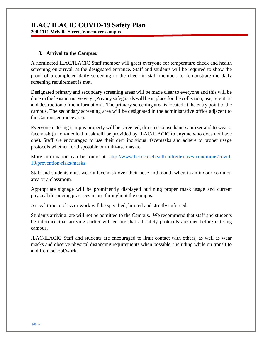#### **3. Arrival to the Campus:**

A nominated ILAC/ILACIC Staff member will greet everyone for temperature check and health screening on arrival, at the designated entrance. Staff and students will be required to show the proof of a completed daily screening to the check-in staff member, to demonstrate the daily screening requirement is met.

Designated primary and secondary screening areas will be made clear to everyone and this will be done in the least intrusive way. (Privacy safeguards will be in place for the collection, use, retention and destruction of the information). The primary screening area is located at the entry point to the campus. The secondary screening area will be designated in the administrative office adjacent to the Campus entrance area.

Everyone entering campus property will be screened, directed to use hand sanitizer and to wear a facemask (a non-medical mask will be provided by ILAC/ILACIC to anyone who does not have one). Staff are encouraged to use their own individual facemasks and adhere to proper usage protocols whether for disposable or multi-use masks.

More information can be found at: [http://www.bccdc.ca/health-info/diseases-conditions/covid-](http://www.bccdc.ca/health-info/diseases-conditions/covid-19/prevention-risks/masks)[19/prevention-risks/masks](http://www.bccdc.ca/health-info/diseases-conditions/covid-19/prevention-risks/masks)

Staff and students must wear a facemask over their nose and mouth when in an indoor common area or a classroom.

Appropriate signage will be prominently displayed outlining proper mask usage and current physical distancing practices in use throughout the campus.

Arrival time to class or work will be specified, limited and strictly enforced.

Students arriving late will not be admitted to the Campus. We recommend that staff and students be informed that arriving earlier will ensure that all safety protocols are met before entering campus.

ILAC/ILACIC Staff and students are encouraged to limit contact with others, as well as wear masks and observe physical distancing requirements when possible, including while on transit to and from school/work.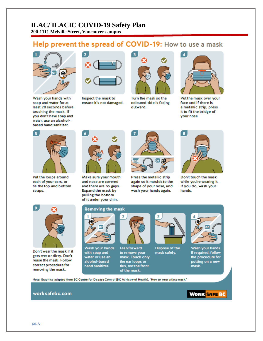## Help prevent the spread of COVID-19: How to use a mask



Wash your hands with soap and water for at least 20 seconds before touching the mask. If you don't have soap and water, use an alcoholbased hand sanitizer.



Inspect the mask to ensure it's not damaged.



Turn the mask so the coloured side is facing outward.



Put the mask over your face and if there is a metallic strip, press it to fit the bridge of your nose



Put the loops around each of your ears, or tie the top and bottom straps.



Make sure your mouth and nose are covered and there are no gaps. Expand the mask by pulling the bottom of it under your chin.



Press the metallic strip again so it moulds to the shape of your nose, and wash your hands again.



Don't touch the mask while you're wearing it. If you do, wash your hands.



Don't wear the mask if it gets wet or dirty. Don't reuse the mask. Follow correct procedure for removing the mask.

#### **Removing the mask**



Wash your hands with soap and water or use an alcohol-based hand sanitizer.



Lean forward to remove your mask. Touch only the ear loops or ties, not the front of the mask.



Dispose of the mask safely.



Wash your hands. If required, follow the procedure for putting on a new mask.

Note: Graphics adapted from BC Centre for Disease Control (BC Ministry of Health), "How to wear a face mask."

#### worksafebc.com

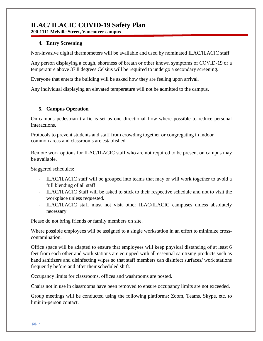**200-1111 Melville Street, Vancouver campus**

#### **4. Entry Screening**

Non-invasive digital thermometers will be available and used by nominated ILAC/ILACIC staff.

Any person displaying a cough, shortness of breath or other known symptoms of COVID-19 or a temperature above 37.8 degrees Celsius will be required to undergo a secondary screening.

Everyone that enters the building will be asked how they are feeling upon arrival.

Any individual displaying an elevated temperature will not be admitted to the campus.

#### **5. Campus Operation**

On-campus pedestrian traffic is set as one directional flow where possible to reduce personal interactions.

Protocols to prevent students and staff from crowding together or congregating in indoor common areas and classrooms are established.

Remote work options for ILAC/ILACIC staff who are not required to be present on campus may be available.

Staggered schedules:

- ILAC/ILACIC staff will be grouped into teams that may or will work together to avoid a full blending of all staff
- ILAC/ILACIC Staff will be asked to stick to their respective schedule and not to visit the workplace unless requested.
- ILAC/ILACIC staff must not visit other ILAC/ILACIC campuses unless absolutely necessary.

Please do not bring friends or family members on site.

Where possible employees will be assigned to a single workstation in an effort to minimize crosscontamination.

Office space will be adapted to ensure that employees will keep physical distancing of at least 6 feet from each other and work stations are equipped with all essential sanitizing products such as hand sanitizers and disinfecting wipes so that staff members can disinfect surfaces/ work stations frequently before and after their scheduled shift.

[Occupancy limits](https://www.worksafebc.com/en/resources/health-safety/posters/help-prevent-spread-covid-19-occupancy-limit?lang=en) for classrooms, offices and washrooms are posted.

Chairs not in use in classrooms have been removed to ensure occupancy limits are not exceeded.

Group meetings will be conducted using the following platforms: Zoom, Teams, Skype, etc. to limit in-person contact.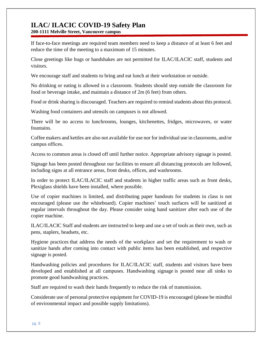**200-1111 Melville Street, Vancouver campus**

If face-to-face meetings are required team members need to keep a distance of at least 6 feet and reduce the time of the meeting to a maximum of 15 minutes.

Close greetings like hugs or handshakes are not permitted for ILAC/ILACIC staff, students and visitors.

We encourage staff and students to bring and eat lunch at their workstation or outside.

No drinking or eating is allowed in a classroom. Students should step outside the classroom for food or beverage intake, and maintain a distance of 2m (6 feet) from others.

Food or drink sharing is discouraged. Teachers are required to remind students about this protocol.

Washing food containers and utensils on campuses is not allowed.

There will be no access to lunchrooms, lounges, kitchenettes, fridges, microwaves, or water fountains.

Coffee makers and kettles are also not available for use nor for individual use in classrooms, and/or campus offices.

Access to common areas is closed off until further notice. Appropriate advisory signage is posted.

Signage has been posted throughout our facilities to ensure all distancing protocols are followed, including signs at all entrance areas, front desks, offices, and washrooms.

In order to protect ILAC/ILACIC staff and students in higher traffic areas such as front desks, Plexiglass shields have been installed, where possible.

Use of copier machines is limited, and distributing paper handouts for students in class is not encouraged (please use the whiteboard). Copier machines' touch surfaces will be sanitized at regular intervals throughout the day. Please consider using hand sanitizer after each use of the copier machine.

ILAC/ILACIC Staff and students are instructed to keep and use a set of tools as their own, such as pens, staplers, headsets, etc.

[Hygiene practices](https://www.worksafebc.com/en/resources/health-safety/posters/help-prevent-spread-covid-19-handwashing?lang=en) that address the needs of the workplace and set the requirement to wash or sanitize hands after coming into contact with public items has been established, and respective signage is posted.

Handwashing policies and procedures for ILAC/ILACIC staff, students and visitors have been developed and established at all campuses. [Handwashing signage](https://www.worksafebc.com/en/resources/health-safety/posters/help-prevent-spread-covid-19-handwashing?lang=en) is posted near all sinks to promote good handwashing practices.

Staff are required to wash their hands frequently to reduce the risk of transmission.

Considerate use of personal protective equipment for COVID-19 is encouraged (please be mindful of environmental impact and possible supply limitations).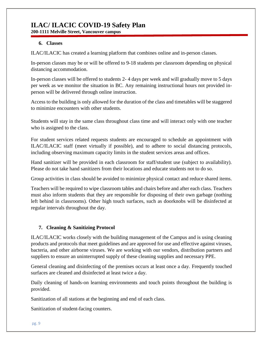**200-1111 Melville Street, Vancouver campus**

#### **6. Classes**

ILAC/ILACIC has created a learning platform that combines online and in-person classes.

In-person classes may be or will be offered to 9-18 students per classroom depending on physical distancing accommodation.

In-person classes will be offered to students 2- 4 days per week and will gradually move to 5 days per week as we monitor the situation in BC. Any remaining instructional hours not provided inperson will be delivered through online instruction.

Access to the building is only allowed for the duration of the class and timetables will be staggered to minimize encounters with other students.

Students will stay in the same class throughout class time and will interact only with one teacher who is assigned to the class.

For student services related requests students are encouraged to schedule an appointment with ILAC/ILACIC staff (meet virtually if possible), and to adhere to social distancing protocols, including observing maximum capacity limits in the student services areas and offices.

Hand sanitizer will be provided in each classroom for staff/student use (subject to availability). Please do not take hand sanitizers from their locations and educate students not to do so.

Group activities in class should be avoided to minimize physical contact and reduce shared items.

Teachers will be required to wipe classroom tables and chairs before and after each class. Teachers must also inform students that they are responsible for disposing of their own garbage (nothing left behind in classrooms). Other high touch surfaces, such as doorknobs will be disinfected at regular intervals throughout the day.

#### **7. Cleaning & Sanitizing Protocol**

ILAC/ILACIC works closely with the building management of the Campus and is using cleaning products and protocols that meet guidelines and are approved for use and effective against viruses, bacteria, and other airborne viruses. We are working with our vendors, distribution partners and suppliers to ensure an uninterrupted supply of these cleaning supplies and necessary PPE.

General cleaning and disinfecting of the premises occurs at least once a day. Frequently touched surfaces are cleaned and disinfected at least twice a day.

Daily cleaning of hands-on learning environments and touch points throughout the building is provided.

Sanitization of all stations at the beginning and end of each class.

Sanitization of student-facing counters.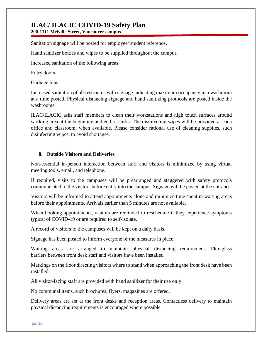**200-1111 Melville Street, Vancouver campus**

Sanitation signage will be posted for employee/ student reference.

Hand sanitizer bottles and wipes to be supplied throughout the campus.

Increased sanitation of the following areas:

Entry doors 

Garbage bins 

Increased sanitation of all restrooms with signage indicating maximum occupancy in a washroom at a time posted. Physical distancing signage and hand sanitizing protocols are posted inside the washrooms.

ILAC/ILACIC asks staff members to clean their workstations and high touch surfaces around working area at the beginning and end of shifts. The disinfecting wipes will be provided at each office and classroom, when available. Please consider rational use of cleaning supplies, such disinfecting wipes, to avoid shortages.

#### **8. Outside Visitors and Deliveries**

Non-essential in-person interaction between staff and visitors is minimized by using virtual meeting tools, email, and telephone.

If required, visits to the campuses will be prearranged and staggered with safety protocols communicated to the visitors before entry into the campus. Signage will be posted at the entrance.

Visitors will be informed to attend appointments alone and minimize time spent in waiting areas before their appointments. Arrivals earlier than 5 minutes are not available.

When booking appointments, visitors are reminded to reschedule if they experience symptoms typical of COVID-19 or are required to self-isolate.

A record of visitors to the campuses will be kept on a daily basis.

Signage has been posted to inform everyone of the measures in place.

Waiting areas are arranged to maintain physical distancing requirement. Plexiglass barriers between front desk staff and visitors have been installed.

Markings on the floor directing visitors where to stand when approaching the front desk have been installed.

All visitor-facing staff are provided with hand sanitizer for their use only.

No communal items, such brochures, flyers, magazines are offered.

Delivery areas are set at the front desks and reception areas. Contactless delivery to maintain physical distancing requirements is encouraged where possible.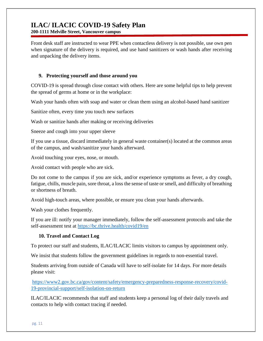**200-1111 Melville Street, Vancouver campus**

Front desk staff are instructed to wear PPE when contactless delivery is not possible, use own pen when signature of the delivery is required, and use hand sanitizers or wash hands after receiving and unpacking the delivery items.

#### **9. Protecting yourself and those around you**

COVID-19 is spread through close contact with others. Here are some helpful tips to help prevent the spread of germs at home or in the workplace:

Wash your hands often with soap and water or clean them using an alcohol-based hand sanitizer

Sanitize often, every time you touch new surfaces

Wash or sanitize hands after making or receiving deliveries

Sneeze and cough into your upper sleeve

If you use a tissue, discard immediately in general waste container(s) located at the common areas of the campus, and wash/sanitize your hands afterward.

Avoid touching your eyes, nose, or mouth.

Avoid contact with people who are sick.

Do not come to the campus if you are sick, and/or experience symptoms as fever, a dry cough, fatigue, chills, muscle pain, sore throat, a loss the sense of taste or smell, and difficulty of breathing or shortness of breath.

Avoid high-touch areas, where possible, or ensure you clean your hands afterwards.

Wash your clothes frequently.

If you are ill: notify your manager immediately, follow the self-assessment protocols and take the self-assessment test at <https://bc.thrive.health/covid19/en>

#### **10. Travel and Contact Log**

To protect our staff and students, ILAC/ILACIC limits visitors to campus by appointment only.

We insist that students follow the government guidelines in regards to non-essential travel.

Students arriving from outside of Canada will have to self-isolate for 14 days. For more details please visit:

[https://www2.gov.bc.ca/gov/content/safety/emergency-preparedness-response-recovery/covid-](https://www2.gov.bc.ca/gov/content/safety/emergency-preparedness-response-recovery/covid-19-provincial-support/self-isolation-on-return)[19-provincial-support/self-isolation-on-return](https://www2.gov.bc.ca/gov/content/safety/emergency-preparedness-response-recovery/covid-19-provincial-support/self-isolation-on-return)

ILAC/ILACIC recommends that staff and students keep a personal log of their daily travels and contacts to help with contact tracing if needed.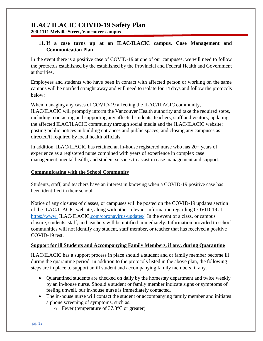#### **11. If a case turns up at an ILAC/ILACIC campus. Case Management and Communication Plan**

In the event there is a positive case of COVID-19 at one of our campuses, we will need to follow the protocols established by the established by the Provincial and Federal Health and Government authorities.

Employees and students who have been in contact with affected person or working on the same campus will be notified straight away and will need to isolate for 14 days and follow the protocols below:

When managing any cases of COVID-19 affecting the ILAC/ILACIC community, ILAC/ILACIC will promptly inform the Vancouver Health authority and take the required steps, including: contacting and supporting any affected students, teachers, staff and visitors; updating the affected ILAC/ILACIC community through social media and the ILAC/ILACIC website; posting public notices in building entrances and public spaces; and closing any campuses as directed/if required by local health officials.

In addition, ILAC/ILACIC has retained an in-house registered nurse who has 20+ years of experience as a registered nurse combined with years of experience in complex case management, mental health, and student services to assist in case management and support.

#### **Communicating with the School Community**

Students, staff, and teachers have an interest in knowing when a COVID-19 positive case has been identified in their school.

Notice of any closures of classes, or campuses will be posted on the COVID-19 updates section of the ILAC/ILACIC website, along with other relevant information regarding COVID-19 at https://www. **[ILAC/ILACIC.com/coronavirus-updates/.](https://www.ilac.com/coronavirus-updates/)** In the event of a class, or campus closure, students, staff, and teachers will be notified immediately. Information provided to school communities will not identify any student, staff member, or teacher that has received a positive COVID-19 test.

#### **Support for ill Students and Accompanying Family Members, if any, during Quarantine**

ILAC/ILACIC has a support process in place should a student and or family member become ill during the quarantine period. In addition to the protocols listed in the above plan, the following steps are in place to support an ill student and accompanying family members, if any.

- Quarantined students are checked on daily by the homestay department and twice weekly by an in-house nurse. Should a student or family member indicate signs or symptoms of feeling unwell, our in-house nurse is immediately contacted.
- The in-house nurse will contact the student or accompanying family member and initiates a phone screening of symptoms, such as:
	- o Fever (temperature of 37.8°C or greater)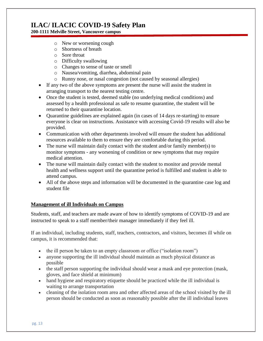#### **200-1111 Melville Street, Vancouver campus**

- o New or worsening cough
- o Shortness of breath
- o Sore throat
- o Difficulty swallowing
- o Changes to sense of taste or smell
- o Nausea/vomiting, diarrhea, abdominal pain
- o Runny nose, or nasal congestion (not caused by seasonal allergies)
- If any two of the above symptoms are present the nurse will assist the student in arranging transport to the nearest testing centre.
- Once the student is tested, deemed stable (no underlying medical conditions) and assessed by a health professional as safe to resume quarantine, the student will be returned to their quarantine location.
- Quarantine guidelines are explained again (in cases of 14 days re-starting) to ensure everyone is clear on instructions. Assistance with accessing Covid-19 results will also be provided.
- Communication with other departments involved will ensure the student has additional resources available to them to ensure they are comfortable during this period.
- The nurse will maintain daily contact with the student and/or family member(s) to monitor symptoms - any worsening of condition or new symptoms that may require medical attention.
- The nurse will maintain daily contact with the student to monitor and provide mental health and wellness support until the quarantine period is fulfilled and student is able to attend campus.
- All of the above steps and information will be documented in the quarantine case log and student file

#### **Management of ill Individuals on Campus**

Students, staff, and teachers are made aware of how to identify symptoms of COVID-19 and are instructed to speak to a staff member/their manager immediately if they feel ill.

If an individual, including students, staff, teachers, contractors, and visitors, becomes ill while on campus, it is recommended that:

- the ill person be taken to an empty classroom or office ("isolation room")
- anyone supporting the ill individual should maintain as much physical distance as possible
- the staff person supporting the individual should wear a mask and eye protection (mask, gloves, and face shield at minimum)
- hand hygiene and respiratory etiquette should be practiced while the ill individual is waiting to arrange transportation
- cleaning of the isolation room area and other affected areas of the school visited by the ill person should be conducted as soon as reasonably possible after the ill individual leaves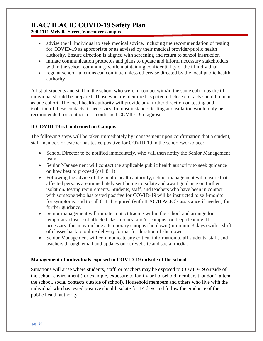**200-1111 Melville Street, Vancouver campus**

- advise the ill individual to seek medical advice, including the recommendation of testing for COVID-19 as appropriate or as advised by their medical provider/public health authority. Ensure direction is aligned with screening and return to school instruction
- $\bullet$  initiate communication protocols and plans to update and inform necessary stakeholders within the school community while maintaining confidentiality of the ill individual
- regular school functions can continue unless otherwise directed by the local public health authority

A list of students and staff in the school who were in contact with/in the same cohort as the ill individual should be prepared. Those who are identified as potential close contacts should remain as one cohort. The local health authority will provide any further direction on testing and isolation of these contacts, if necessary. In most instances testing and isolation would only be recommended for contacts of a confirmed COVID-19 diagnosis.

#### **If COVID-19 is Confirmed on Campus**

The following steps will be taken immediately by management upon confirmation that a student, staff member, or teacher has tested positive for COVID-19 in the school/workplace:

- School Director to be notified immediately, who will then notify the Senior Management team.
- Senior Management will contact the applicable public health authority to seek guidance on how best to proceed (call 811).
- Following the advice of the public health authority, school management will ensure that affected persons are immediately sent home to isolate and await guidance on further isolation/ testing requirements. Students, staff, and teachers who have been in contact with someone who has tested positive for COVID-19 will be instructed to self-monitor for symptoms, and to call 811 if required (with ILAC/ILACIC's assistance if needed) for further guidance.
- Senior management will initiate contact tracing within the school and arrange for temporary closure of affected classroom(s) and/or campus for deep cleaning. If necessary, this may include a temporary campus shutdown (minimum 3 days) with a shift of classes back to online delivery format for duration of shutdown.
- Senior Management will communicate any critical information to all students, staff, and teachers through email and updates on our website and social media.

#### **Management of individuals exposed to COVID-19 outside of the school**

Situations will arise where students, staff, or teachers may be exposed to COVID-19 outside of the school environment (for example, exposure to family or household members that don't attend the school, social contacts outside of school). Household members and others who live with the individual who has tested positive should isolate for 14 days and follow the guidance of the public health authority.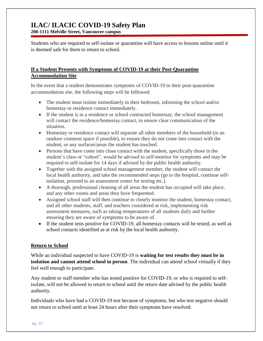Students who are required to self-isolate or quarantine will have access to lessons online until it is deemed safe for them to return to school.

#### **If a Student Presents with Symptoms of COVID-19 at their Post-Quarantine Accommodation Site**

In the event that a student demonstrates symptoms of COVID-19 in their post-quarantine accommodation site, the following steps will be followed:

- The student must isolate immediately in their bedroom, informing the school and/or homestay or residence contact immediately.
- If the student is in a residence or school contracted homestay, the school management will contact the residence/homestay contact, to ensure clear communication of the situation.
- Homestay or residence contact will separate all other members of the household (in an outdoor common space if possible), to ensure they do not come into contact with the student, or any surfaces/areas the student has touched.
- Persons that have come into close contact with the student, specifically those in the student's class or "cohort", would be advised to self-monitor for symptoms and may be required to self-isolate for 14 days if advised by the public health authority.
- Together with the assigned school management member, the student will contact the local health authority, and take the recommended steps (go to the hospital, continue selfisolation, proceed to an assessment center for testing etc.).
- A thorough, professional cleaning of all areas the student has occupied will take place, and any other rooms and areas they have frequented.
- Assigned school staff will then continue to closely monitor the student, homestay contact, and all other students, staff, and teachers considered at risk, implementing risk assessment measures, such as taking temperatures of all students daily and further ensuring they are aware of symptoms to be aware of.
- If the student tests positive for COVID-19, all homestay contacts will be tested, as well as school contacts identified as at risk by the local health authority.

#### **Return to School**

While an individual suspected to have COVID-19 is **waiting for test results they must be in isolation and cannot attend school in person**. The individual can attend school virtually if they feel well enough to participate.

Any student or staff member who has tested positive for COVID-19, or who is required to selfisolate, will not be allowed to return to school until the return date advised by the public health authority.

Individuals who have had a COVID-19 test because of symptoms, but who test negative should not return to school until at least 24 hours after their symptoms have resolved.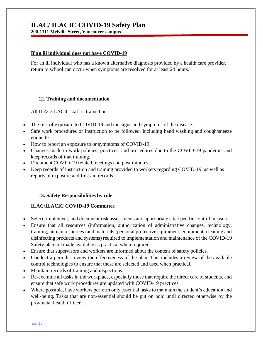**200-1111 Melville Street, Vancouver campus**

#### **If an ill individual does not have COVID-19**

For an ill individual who has a known alternative diagnosis provided by a health care provider, return to school can occur when symptoms are resolved for at least 24 hours.

#### **12. Training and documentation**

All ILAC/ILACIC staff is trained on:

- The risk of exposure to COVID-19 and the signs and symptoms of the disease.
- Safe work procedures or instruction to be followed, including hand washing and cough/sneeze etiquette.
- How to report an exposure to or symptoms of COVID-19.
- Changes made to work policies, practices, and procedures due to the COVID-19 pandemic and keep records of that training.
- Document COVID-19 related meetings and post minutes.
- Keep records of instruction and training provided to workers regarding COVID-19, as well as reports of exposure and first aid records.

#### **13. Safety Responsibilities by role**

#### **ILAC/ILACIC COVID-19 Committee**

- Select, implement, and document risk assessments and appropriate site-specific control measures.
- Ensure that all resources (information, authorization of administrative changes, technology, training, human resources) and materials (personal protective equipment, equipment, cleaning and disinfecting products and systems) required to implementation and maintenance of the COVID-19 Safety plan are made available as practical when required.
- Ensure that supervisors and workers are informed about the content of safety policies.
- Conduct a periodic review the effectiveness of the plan. This includes a review of the available control technologies to ensure that these are selected and used when practical.
- Maintain records of training and inspections.
- Re-examine all tasks in the workplace, especially those that require the direct care of students, and ensure that safe work procedures are updated with COVID-19 practices.
- Where possible, have workers perform only essential tasks to maintain the student's education and well-being. Tasks that are non-essential should be put on hold until directed otherwise by the provincial health officer.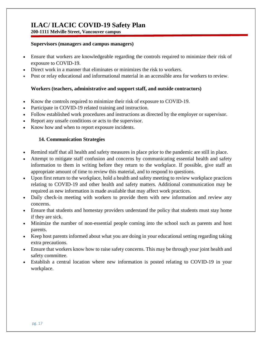#### **Supervisors (managers and campus managers)**

- Ensure that workers are knowledgeable regarding the controls required to minimize their risk of exposure to COVID-19.
- Direct work in a manner that eliminates or minimizes the risk to workers.
- Post or relay educational and informational material in an accessible area for workers to review.

#### **Workers (teachers, administrative and support staff, and outside contractors)**

- Know the controls required to minimize their risk of exposure to COVID-19.
- Participate in COVID-19 related training and instruction.
- Follow established work procedures and instructions as directed by the employer or supervisor.
- Report any unsafe conditions or acts to the supervisor.
- Know how and when to report exposure incidents.

#### **14. Communication Strategies**

- Remind staff that all health and safety measures in place prior to the pandemic are still in place.
- Attempt to mitigate staff confusion and concerns by communicating essential health and safety information to them in writing before they return to the workplace. If possible, give staff an appropriate amount of time to review this material, and to respond to questions.
- Upon first return to the workplace, hold a health and safety meeting to review workplace practices relating to COVID-19 and other health and safety matters. Additional communication may be required as new information is made available that may affect work practices.
- Daily check-in meeting with workers to provide them with new information and review any concerns.
- Ensure that students and homestay providers understand the policy that students must stay home if they are sick.
- Minimize the number of non-essential people coming into the school such as parents and host parents.
- Keep host parents informed about what you are doing in your educational setting regarding taking extra precautions.
- Ensure that workers know how to raise safety concerns. This may be through your joint health and safety committee.
- Establish a central location where new information is posted relating to COVID-19 in your workplace.